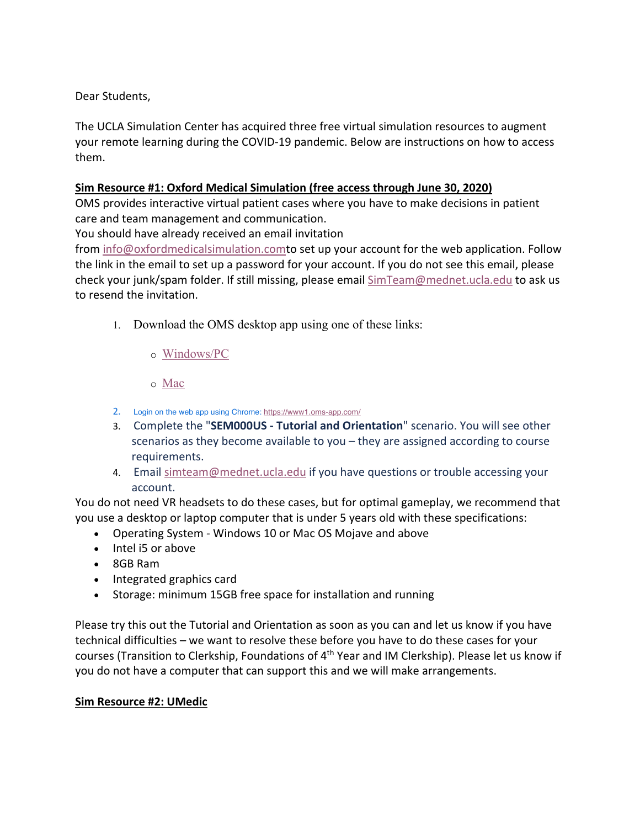Dear Students,

The UCLA Simulation Center has acquired three free virtual simulation resources to augment your remote learning during the COVID-19 pandemic. Below are instructions on how to access them.

## **Sim Resource #1: Oxford Medical Simulation (free access through June 30, 2020)**

OMS provides interactive virtual patient cases where you have to make decisions in patient care and team management and communication.

You should have already received an email invitation

from info@oxfordmedicalsimulation.comto set up your account for the web application. Follow the link in the email to set up a password for your account. If you do not see this email, please check your junk/spam folder. If still missing, please email SimTeam@mednet.ucla.edu to ask us to resend the invitation.

- 1. Download the OMS desktop app using one of these links:
	- o Windows/PC
	- o Mac
- 2. Login on the web app using Chrome: https://www1.oms-app.com/
- 3. Complete the "**SEM000US - Tutorial and Orientation**" scenario. You will see other scenarios as they become available to you – they are assigned according to course requirements.
- 4. Email simteam@mednet.ucla.edu if you have questions or trouble accessing your account.

You do not need VR headsets to do these cases, but for optimal gameplay, we recommend that you use a desktop or laptop computer that is under 5 years old with these specifications:

- Operating System Windows 10 or Mac OS Mojave and above
- Intel i5 or above
- 8GB Ram
- Integrated graphics card
- Storage: minimum 15GB free space for installation and running

Please try this out the Tutorial and Orientation as soon as you can and let us know if you have technical difficulties – we want to resolve these before you have to do these cases for your courses (Transition to Clerkship, Foundations of 4<sup>th</sup> Year and IM Clerkship). Please let us know if you do not have a computer that can support this and we will make arrangements.

## **Sim Resource #2: UMedic**